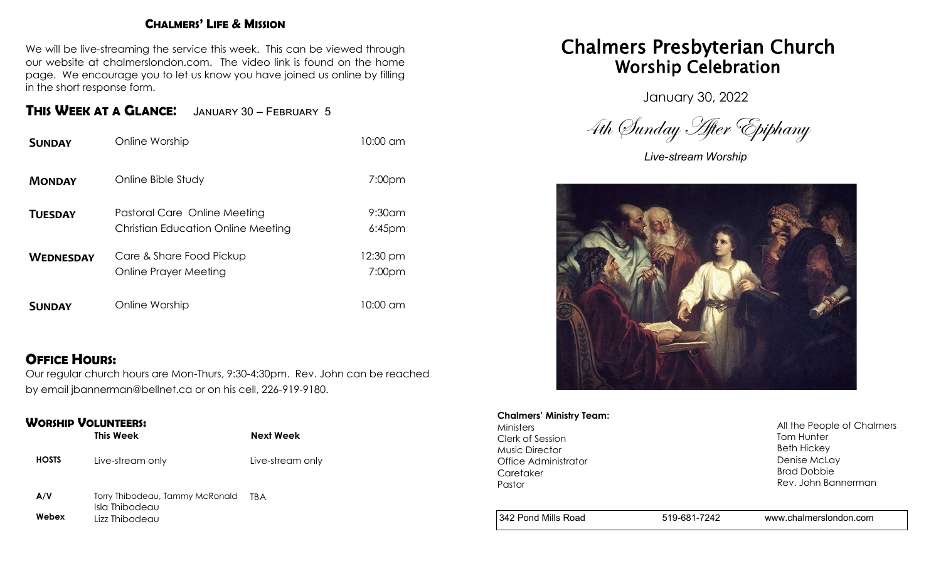#### **CHALMERS' LIFE & MISSION**

We will be live-streaming the service this week. This can be viewed through our website at chalmerslondon.com. The video link is found on the home page. We encourage you to let us know you have joined us online by filling in the short response form.

### **THIS WEEK AT <sup>A</sup> GLANCE**: January 30 – February 5

| <b>SUNDAY</b>    | Online Worship                                                            | 10:00 am                       |
|------------------|---------------------------------------------------------------------------|--------------------------------|
| <b>MONDAY</b>    | Online Bible Study                                                        | 7:00 <sub>pm</sub>             |
| <b>TUESDAY</b>   | Pastoral Care Online Meeting<br><b>Christian Education Online Meeting</b> | $9:30$ am<br>$6:45$ pm         |
| <b>WEDNESDAY</b> | Care & Share Food Pickup<br>Online Prayer Meeting                         | 12:30 pm<br>7:00 <sub>pm</sub> |
| <b>SUNDAY</b>    | Online Worship                                                            | 10:00 am                       |

#### **OFFICE HOURS:**

Our regular church hours are Mon-Thurs, 9:30-4:30pm. Rev. John can be reached by email jbannerman@bellnet.ca or on his cell, 226-919-9180.

#### **WORSHIP VOLUNTEERS:**

|              | This Week                                         | Next Week        |
|--------------|---------------------------------------------------|------------------|
| <b>HOSTS</b> | Live-stream only                                  | Live-stream only |
| A/V          | Torry Thibodeau, Tammy McRonald<br>Isla Thibodeau | TRA              |

**Webex** Lizz Thibodeau

# Chalmers Presbyterian Church Worship Celebration

January 30, 2022

4th Sunday After Epiphany

*Live-stream Worship*



#### **Chalmers' Ministry Team:**

Ministers Clerk of Session Music Director Office Administrator **Caretaker** Pastor

All the People of Chalmers Tom Hunter Beth Hickey Denise McLay Brad Dobbie Rev. John Bannerman

342 Pond Mills Road 519-681-7242 www.chalmerslondon.com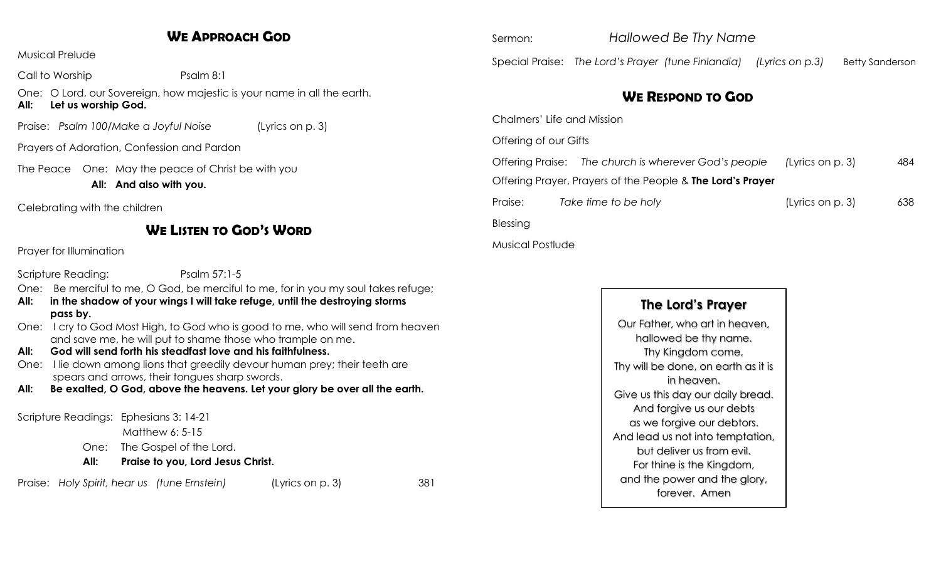### **WE APPROACH GOD**

Musical Prelude

Call to Worship Psalm 8:1

One: O Lord, our Sovereign, how majestic is your name in all the earth. **All: Let us worship God.**

Praise: *Psalm 100/Make a Joyful Noise* (Lyrics on p. 3)

Prayers of Adoration, Confession and Pardon

The Peace One: May the peace of Christ be with you

**All: And also with you.**

Celebrating with the children

### **WE LISTEN TO GOD'S WORD**

Prayer for Illumination

Scripture Reading: Psalm 57:1-5

One: Be merciful to me, O God, be merciful to me, for in you my soul takes refuge;

- **All: in the shadow of your wings I will take refuge, until the destroying storms pass by.**
- One: I cry to God Most High, to God who is good to me, who will send from heaven and save me, he will put to shame those who trample on me.
- **All: God will send forth his steadfast love and his faithfulness**.
- One: I lie down among lions that greedily devour human prey; their teeth are spears and arrows, their tongues sharp swords.
- **All: Be exalted, O God, above the heavens. Let your glory be over all the earth.**

Scripture Readings: Ephesians 3: 14-21

Matthew 6: 5-15

- One: The Gospel of the Lord.
- **All: Praise to you, Lord Jesus Christ.**

Praise: *Holy Spirit, hear us (tune Ernstein)* (Lyrics on p. 3) 381

Sermon: *Hallowed Be Thy Name* Special Praise: The Lord's Prayer (tune Finlandia) (Lyrics on p.3) Betty Sanderson

## **WE RESPOND TO GOD**

Chalmers' Life and Mission Offering of our Gifts Offering Praise: *The church is wherever God's people (*Lyrics on p. 3) 484 Offering Prayer, Prayers of the People & **The Lord's Prayer** Praise: *Take time to be holy* (Lyrics on p. 3) 638 Blessing

Musical Postlude

### **The Lord's Prayer**

Our Father, who art in heaven, hallowed be thy name. Thy Kingdom come, Thy will be done, on earth as it is in heaven. Give us this day our daily bread. And forgive us our debts as we forgive our debtors. And lead us not into temptation, but deliver us from evil. For thine is the Kingdom, and the power and the glory, forever. Amen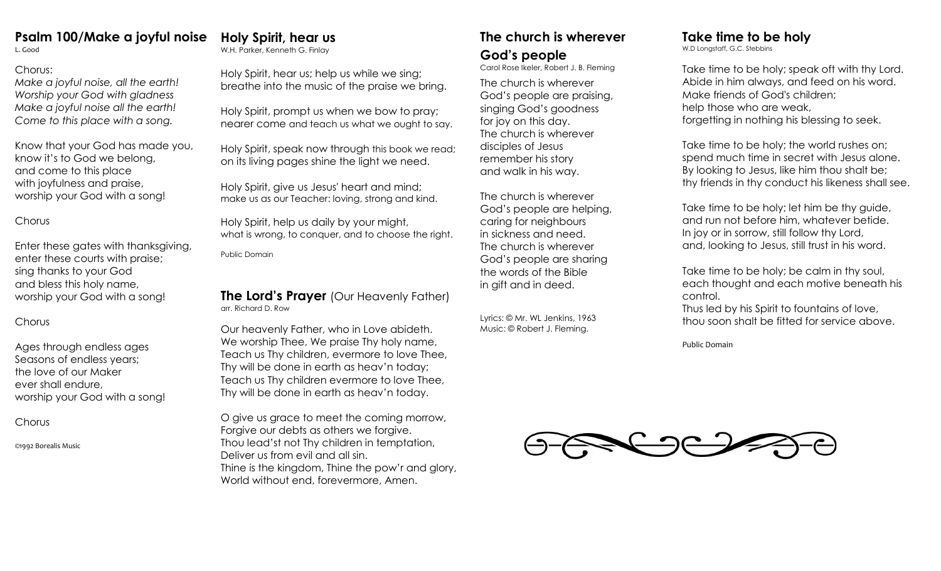### **Psalm 100/Make a joyful noise**

L. Good

#### Chorus:

*Make a joyful noise, all the earth! Worship your God with gladness Make a joyful noise all the earth! Come to this place with a song.* 

Know that your God has made you, know it's to God we belong, and come to this place with joyfulness and praise, worship your God with a song!

#### **Chorus**

Enter these gates with thanksgiving, enter these courts with praise; sing thanks to your God and bless this holy name, worship your God with a song!

#### Chorus

Ages through endless ages Seasons of endless years; the love of our Maker ever shall endure, worship your God with a song!

**Chorus** 

©1992 Borealis Music

## **Holy Spirit, hear us**

W.H. Parker, Kenneth G. Finlay

Holy Spirit, hear us; help us while we sing; breathe into the music of the praise we bring.

Holy Spirit, prompt us when we bow to pray; nearer come and teach us what we ought to say.

Holy Spirit, speak now through this book we read; on its living pages shine the light we need.

Holy Spirit, give us Jesus' heart and mind; make us as our Teacher: loving, strong and kind.

Holy Spirit, help us daily by your might, what is wrong, to conquer, and to choose the right.

Public Domain

#### **The Lord's Prayer** (Our Heavenly Father) arr. Richard D. Row

Our heavenly Father, who in Love abideth. We worship Thee, We praise Thy holy name, Teach us Thy children, evermore to love Thee, Thy will be done in earth as heav'n today; Teach us Thy children evermore to love Thee, Thy will be done in earth as heav'n today.

O give us grace to meet the coming morrow, Forgive our debts as others we forgive. Thou lead'st not Thy children in temptation, Deliver us from evil and all sin. Thine is the kingdom, Thine the pow'r and glory, World without end, forevermore, Amen.

## **The church is wherever God's people**

Carol Rose Ikeler, Robert J. B. Fleming

The church is wherever God's people are praising, singing God's goodness for joy on this day. The church is wherever disciples of Jesus remember his story and walk in his way.

The church is wherever God's people are helping, caring for neighbours in sickness and need. The church is wherever God's people are sharing the words of the Bible in gift and in deed.

Lyrics: © Mr. WL Jenkins, 1963 Music: © Robert J. Fleming.

## **Take time to be holy**

W.D Longstaff, G.C. Stebbins

Take time to be holy; speak oft with thy Lord. Abide in him always, and feed on his word. Make friends of God's children; help those who are weak, forgetting in nothing his blessing to seek.

Take time to be holy; the world rushes on; spend much time in secret with Jesus alone. By looking to Jesus, like him thou shalt be; thy friends in thy conduct his likeness shall see.

Take time to be holy; let him be thy guide, and run not before him, whatever betide. In joy or in sorrow, still follow thy Lord, and, looking to Jesus, still trust in his word.

Take time to be holy; be calm in thy soul, each thought and each motive beneath his control.

Thus led by his Spirit to fountains of love, thou soon shalt be fitted for service above.

Public Domain